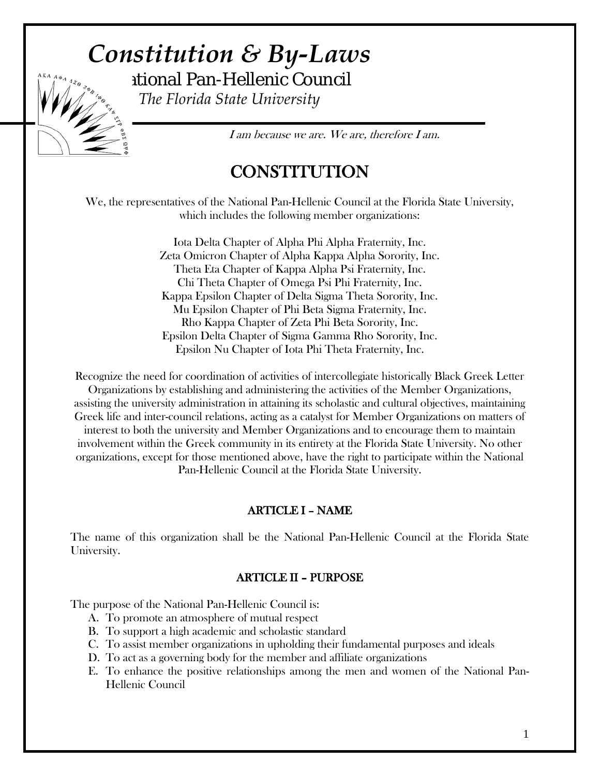# *Constitution & By-Laws* National Pan-Hellenic Council



*The Florida State University*

I am because we are. We are, therefore I am.

## **CONSTITUTION**

We, the representatives of the National Pan-Hellenic Council at the Florida State University, which includes the following member organizations:

> Iota Delta Chapter of Alpha Phi Alpha Fraternity, Inc. Zeta Omicron Chapter of Alpha Kappa Alpha Sorority, Inc. Theta Eta Chapter of Kappa Alpha Psi Fraternity, Inc. Chi Theta Chapter of Omega Psi Phi Fraternity, Inc. Kappa Epsilon Chapter of Delta Sigma Theta Sorority, Inc. Mu Epsilon Chapter of Phi Beta Sigma Fraternity, Inc. Rho Kappa Chapter of Zeta Phi Beta Sorority, Inc. Epsilon Delta Chapter of Sigma Gamma Rho Sorority, Inc. Epsilon Nu Chapter of Iota Phi Theta Fraternity, Inc.

Recognize the need for coordination of activities of intercollegiate historically Black Greek Letter Organizations by establishing and administering the activities of the Member Organizations, assisting the university administration in attaining its scholastic and cultural objectives, maintaining Greek life and inter-council relations, acting as a catalyst for Member Organizations on matters of interest to both the university and Member Organizations and to encourage them to maintain involvement within the Greek community in its entirety at the Florida State University. No other organizations, except for those mentioned above, have the right to participate within the National Pan-Hellenic Council at the Florida State University.

## ARTICLE I – NAME

The name of this organization shall be the National Pan-Hellenic Council at the Florida State University.

## ARTICLE II – PURPOSE

The purpose of the National Pan-Hellenic Council is:

- A. To promote an atmosphere of mutual respect
- B. To support a high academic and scholastic standard
- C. To assist member organizations in upholding their fundamental purposes and ideals
- D. To act as a governing body for the member and affiliate organizations
- E. To enhance the positive relationships among the men and women of the National Pan-Hellenic Council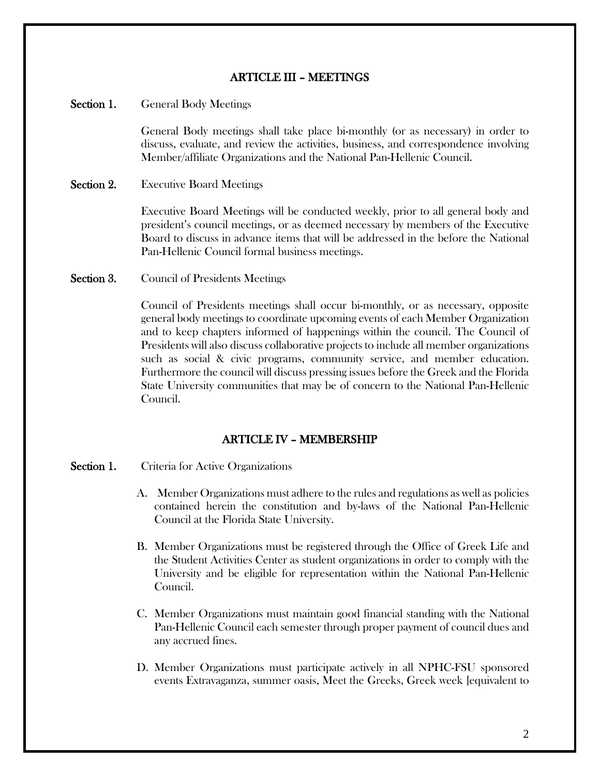## ARTICLE III – MEETINGS

### Section 1. General Body Meetings

General Body meetings shall take place bi-monthly (or as necessary) in order to discuss, evaluate, and review the activities, business, and correspondence involving Member/affiliate Organizations and the National Pan-Hellenic Council.

Section 2. Executive Board Meetings

Executive Board Meetings will be conducted weekly, prior to all general body and president's council meetings, or as deemed necessary by members of the Executive Board to discuss in advance items that will be addressed in the before the National Pan-Hellenic Council formal business meetings.

Section 3. Council of Presidents Meetings

Council of Presidents meetings shall occur bi-monthly, or as necessary, opposite general body meetings to coordinate upcoming events of each Member Organization and to keep chapters informed of happenings within the council. The Council of Presidents will also discuss collaborative projects to include all member organizations such as social & civic programs, community service, and member education. Furthermore the council will discuss pressing issues before the Greek and the Florida State University communities that may be of concern to the National Pan-Hellenic Council.

## ARTICLE IV – MEMBERSHIP

- Section 1. Criteria for Active Organizations
	- A. Member Organizations must adhere to the rules and regulations as well as policies contained herein the constitution and by-laws of the National Pan-Hellenic Council at the Florida State University.
	- B. Member Organizations must be registered through the Office of Greek Life and the Student Activities Center as student organizations in order to comply with the University and be eligible for representation within the National Pan-Hellenic Council.
	- C. Member Organizations must maintain good financial standing with the National Pan-Hellenic Council each semester through proper payment of council dues and any accrued fines.
	- D. Member Organizations must participate actively in all NPHC-FSU sponsored events Extravaganza, summer oasis, Meet the Greeks, Greek week [equivalent to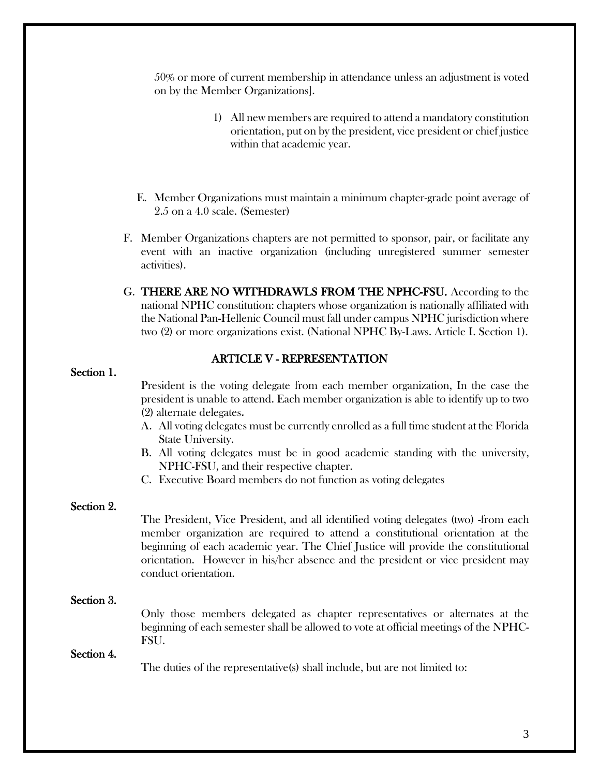50% or more of current membership in attendance unless an adjustment is voted on by the Member Organizations].

- 1) All new members are required to attend a mandatory constitution orientation, put on by the president, vice president or chief justice within that academic year.
- E. Member Organizations must maintain a minimum chapter-grade point average of 2.5 on a 4.0 scale. (Semester)
- F. Member Organizations chapters are not permitted to sponsor, pair, or facilitate any event with an inactive organization (including unregistered summer semester activities).
- G. THERE ARE NO WITHDRAWLS FROM THE NPHC-FSU. According to the national NPHC constitution: chapters whose organization is nationally affiliated with the National Pan-Hellenic Council must fall under campus NPHC jurisdiction where two (2) or more organizations exist. (National NPHC By-Laws. Article I. Section 1).

#### ARTICLE V - REPRESENTATION

#### Section 1.

President is the voting delegate from each member organization, In the case the president is unable to attend. Each member organization is able to identify up to two (2) alternate delegates.

- A. All voting delegates must be currently enrolled as a full time student at the Florida State University.
- B. All voting delegates must be in good academic standing with the university, NPHC-FSU, and their respective chapter.
- C. Executive Board members do not function as voting delegates

#### Section 2.

The President, Vice President, and all identified voting delegates (two) -from each member organization are required to attend a constitutional orientation at the beginning of each academic year. The Chief Justice will provide the constitutional orientation. However in his/her absence and the president or vice president may conduct orientation.

## Section 3.

Only those members delegated as chapter representatives or alternates at the beginning of each semester shall be allowed to vote at official meetings of the NPHC-FSU.

#### Section 4.

The duties of the representative(s) shall include, but are not limited to: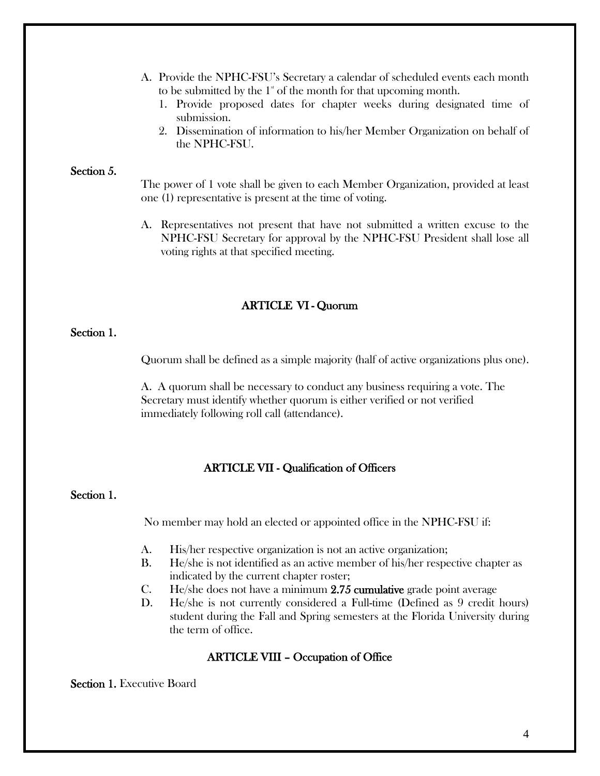- A. Provide the NPHC-FSU's Secretary a calendar of scheduled events each month to be submitted by the  $1^*$  of the month for that upcoming month.
	- 1. Provide proposed dates for chapter weeks during designated time of submission.
	- 2. Dissemination of information to his/her Member Organization on behalf of the NPHC-FSU.

#### Section 5.

The power of 1 vote shall be given to each Member Organization, provided at least one (1) representative is present at the time of voting.

A. Representatives not present that have not submitted a written excuse to the NPHC-FSU Secretary for approval by the NPHC-FSU President shall lose all voting rights at that specified meeting.

#### ARTICLE VI - Quorum

## Section 1.

Quorum shall be defined as a simple majority (half of active organizations plus one).

A. A quorum shall be necessary to conduct any business requiring a vote. The Secretary must identify whether quorum is either verified or not verified immediately following roll call (attendance).

#### ARTICLE VII - Qualification of Officers

#### Section 1.

No member may hold an elected or appointed office in the NPHC-FSU if:

- A. His/her respective organization is not an active organization;
- B. He/she is not identified as an active member of his/her respective chapter as indicated by the current chapter roster;
- C. He/she does not have a minimum 2.75 cumulative grade point average
- D. He/she is not currently considered a Full-time (Defined as 9 credit hours) student during the Fall and Spring semesters at the Florida University during the term of office.

## ARTICLE VIII – Occupation of Office

Section 1. Executive Board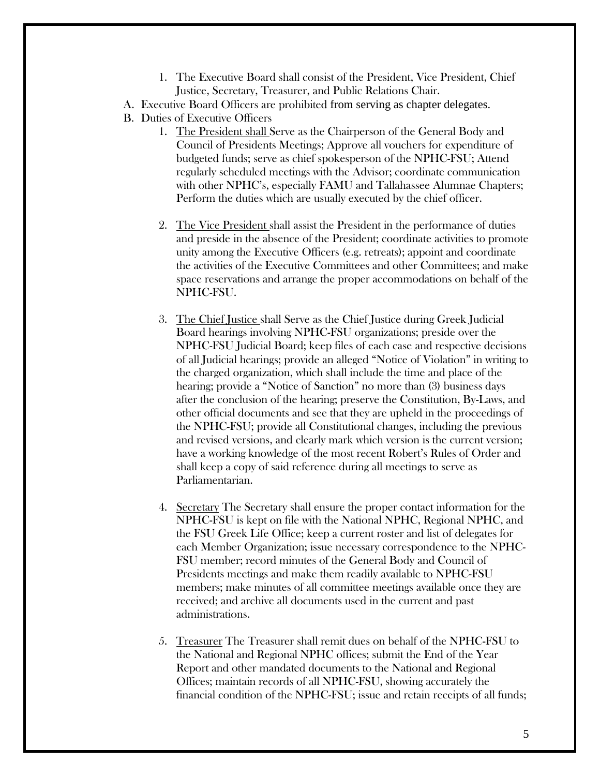1. The Executive Board shall consist of the President, Vice President, Chief Justice, Secretary, Treasurer, and Public Relations Chair.

A. Executive Board Officers are prohibited from serving as chapter delegates.

B. Duties of Executive Officers

- 1. The President shall Serve as the Chairperson of the General Body and Council of Presidents Meetings; Approve all vouchers for expenditure of budgeted funds; serve as chief spokesperson of the NPHC-FSU; Attend regularly scheduled meetings with the Advisor; coordinate communication with other NPHC's, especially FAMU and Tallahassee Alumnae Chapters; Perform the duties which are usually executed by the chief officer.
- 2. The Vice President shall assist the President in the performance of duties and preside in the absence of the President; coordinate activities to promote unity among the Executive Officers (e.g. retreats); appoint and coordinate the activities of the Executive Committees and other Committees; and make space reservations and arrange the proper accommodations on behalf of the NPHC-FSU.
- 3. The Chief Justice shall Serve as the Chief Justice during Greek Judicial Board hearings involving NPHC-FSU organizations; preside over the NPHC-FSU Judicial Board; keep files of each case and respective decisions of all Judicial hearings; provide an alleged "Notice of Violation" in writing to the charged organization, which shall include the time and place of the hearing; provide a "Notice of Sanction" no more than (3) business days after the conclusion of the hearing; preserve the Constitution, By-Laws, and other official documents and see that they are upheld in the proceedings of the NPHC-FSU; provide all Constitutional changes, including the previous and revised versions, and clearly mark which version is the current version; have a working knowledge of the most recent Robert's Rules of Order and shall keep a copy of said reference during all meetings to serve as Parliamentarian.
- 4. Secretary The Secretary shall ensure the proper contact information for the NPHC-FSU is kept on file with the National NPHC, Regional NPHC, and the FSU Greek Life Office; keep a current roster and list of delegates for each Member Organization; issue necessary correspondence to the NPHC-FSU member; record minutes of the General Body and Council of Presidents meetings and make them readily available to NPHC-FSU members; make minutes of all committee meetings available once they are received; and archive all documents used in the current and past administrations.
- 5. Treasurer The Treasurer shall remit dues on behalf of the NPHC-FSU to the National and Regional NPHC offices; submit the End of the Year Report and other mandated documents to the National and Regional Offices; maintain records of all NPHC-FSU, showing accurately the financial condition of the NPHC-FSU; issue and retain receipts of all funds;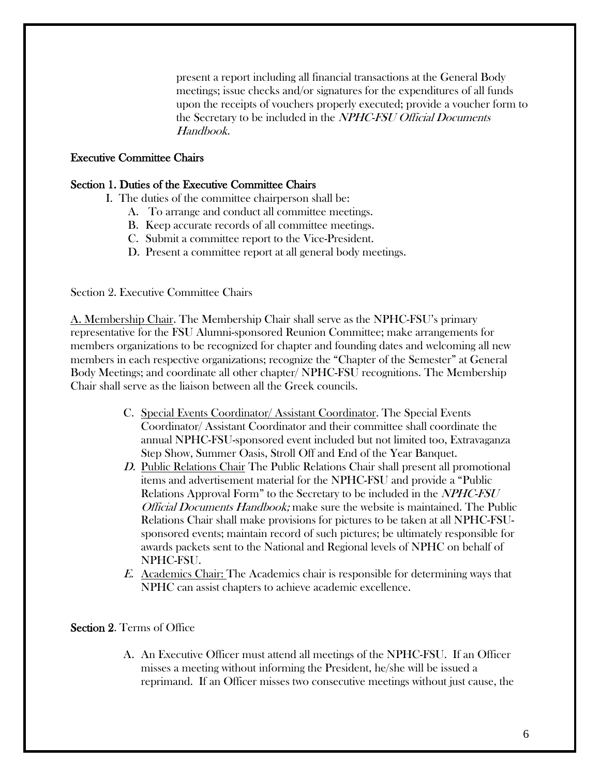present a report including all financial transactions at the General Body meetings; issue checks and/or signatures for the expenditures of all funds upon the receipts of vouchers properly executed; provide a voucher form to the Secretary to be included in the *NPHC-FSU Official Documents* Handbook.

### Executive Committee Chairs

#### Section 1. Duties of the Executive Committee Chairs

- I. The duties of the committee chairperson shall be:
	- A. To arrange and conduct all committee meetings.
	- B. Keep accurate records of all committee meetings.
	- C. Submit a committee report to the Vice-President.
	- D. Present a committee report at all general body meetings.

Section 2. Executive Committee Chairs

A. Membership Chair. The Membership Chair shall serve as the NPHC-FSU's primary representative for the FSU Alumni-sponsored Reunion Committee; make arrangements for members organizations to be recognized for chapter and founding dates and welcoming all new members in each respective organizations; recognize the "Chapter of the Semester" at General Body Meetings; and coordinate all other chapter/ NPHC-FSU recognitions. The Membership Chair shall serve as the liaison between all the Greek councils.

- C. Special Events Coordinator/ Assistant Coordinator. The Special Events Coordinator/ Assistant Coordinator and their committee shall coordinate the annual NPHC-FSU-sponsored event included but not limited too, Extravaganza Step Show, Summer Oasis, Stroll Off and End of the Year Banquet.
- D. Public Relations Chair The Public Relations Chair shall present all promotional items and advertisement material for the NPHC-FSU and provide a "Public Relations Approval Form" to the Secretary to be included in the *NPHC-FSU* Official Documents Handbook; make sure the website is maintained. The Public Relations Chair shall make provisions for pictures to be taken at all NPHC-FSUsponsored events; maintain record of such pictures; be ultimately responsible for awards packets sent to the National and Regional levels of NPHC on behalf of NPHC-FSU.
- E. Academics Chair: The Academics chair is responsible for determining ways that NPHC can assist chapters to achieve academic excellence.

#### Section 2. Terms of Office

A. An Executive Officer must attend all meetings of the NPHC-FSU. If an Officer misses a meeting without informing the President, he/she will be issued a reprimand. If an Officer misses two consecutive meetings without just cause, the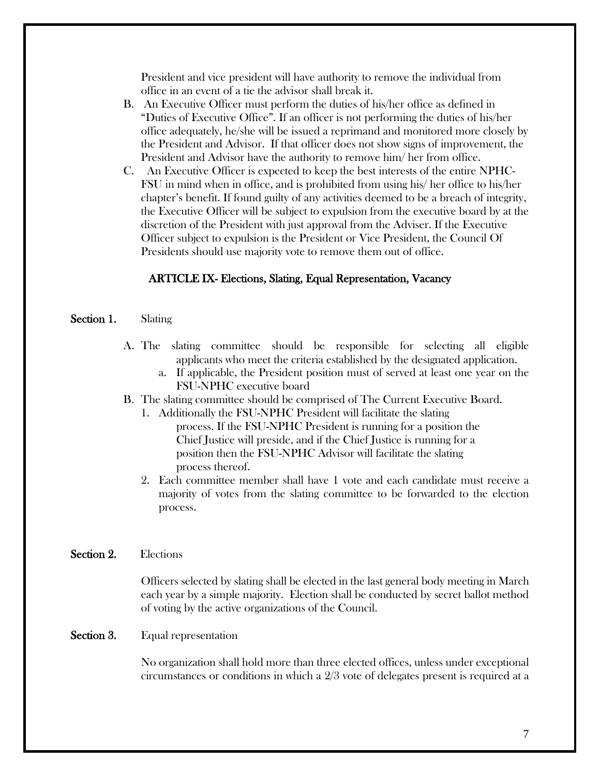President and vice president will have authority to remove the individual from office in an event of a tie the advisor shall break it.

- B. An Executive Officer must perform the duties of his/her office as defined in "Duties of Executive Office". If an officer is not performing the duties of his/her office adequately, he/she will be issued a reprimand and monitored more closely by the President and Advisor. If that officer does not show signs of improvement, the President and Advisor have the authority to remove him/ her from office.
- C. An Executive Officer is expected to keep the best interests of the entire NPHC-FSU in mind when in office, and is prohibited from using his/ her office to his/her chapter's benefit. If found guilty of any activities deemed to be a breach of integrity, the Executive Officer will be subject to expulsion from the executive board by at the discretion of the President with just approval from the Adviser. If the Executive Officer subject to expulsion is the President or Vice President, the Council Of Presidents should use majority vote to remove them out of office.

## ARTICLE IX- Elections, Slating, Equal Representation, Vacancy

## Section 1. Slating

- A. The slating committee should be responsible for selecting all eligible applicants who meet the criteria established by the designated application.
	- a. If applicable, the President position must of served at least one year on the FSU-NPHC executive board
- B. The slating committee should be comprised of The Current Executive Board.
	- 1. Additionally the FSU-NPHC President will facilitate the slating process. If the FSU-NPHC President is running for a position the Chief Justice will preside, and if the Chief Justice is running for a position then the FSU-NPHC Advisor will facilitate the slating process thereof.
	- 2. Each committee member shall have 1 vote and each candidate must receive a majority of votes from the slating committee to be forwarded to the election process.

## Section 2. Elections

Officers selected by slating shall be elected in the last general body meeting in March each year by a simple majority. Election shall be conducted by secret ballot method of voting by the active organizations of the Council.

## Section 3. Equal representation

No organization shall hold more than three elected offices, unless under exceptional circumstances or conditions in which a 2/3 vote of delegates present is required at a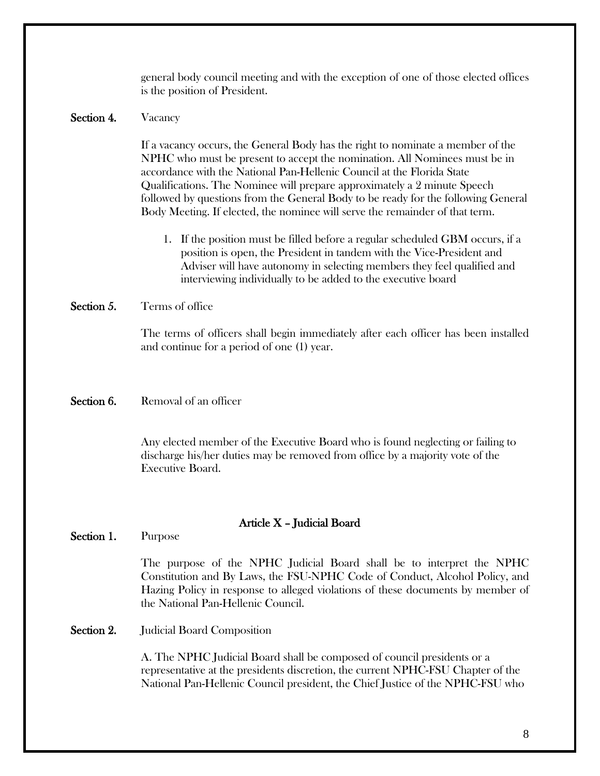general body council meeting and with the exception of one of those elected offices is the position of President.

## Section 4. Vacancy

If a vacancy occurs, the General Body has the right to nominate a member of the NPHC who must be present to accept the nomination. All Nominees must be in accordance with the National Pan-Hellenic Council at the Florida State Qualifications. The Nominee will prepare approximately a 2 minute Speech followed by questions from the General Body to be ready for the following General Body Meeting. If elected, the nominee will serve the remainder of that term.

1. If the position must be filled before a regular scheduled GBM occurs, if a position is open, the President in tandem with the Vice-President and Adviser will have autonomy in selecting members they feel qualified and interviewing individually to be added to the executive board

#### Section 5. Terms of office

The terms of officers shall begin immediately after each officer has been installed and continue for a period of one (1) year.

## Section 6. Removal of an officer

Any elected member of the Executive Board who is found neglecting or failing to discharge his/her duties may be removed from office by a majority vote of the Executive Board.

#### Article X – Judicial Board

Section 1. Purpose

The purpose of the NPHC Judicial Board shall be to interpret the NPHC Constitution and By Laws, the FSU-NPHC Code of Conduct, Alcohol Policy, and Hazing Policy in response to alleged violations of these documents by member of the National Pan-Hellenic Council.

Section 2. Judicial Board Composition

A. The NPHC Judicial Board shall be composed of council presidents or a representative at the presidents discretion, the current NPHC-FSU Chapter of the National Pan-Hellenic Council president, the Chief Justice of the NPHC-FSU who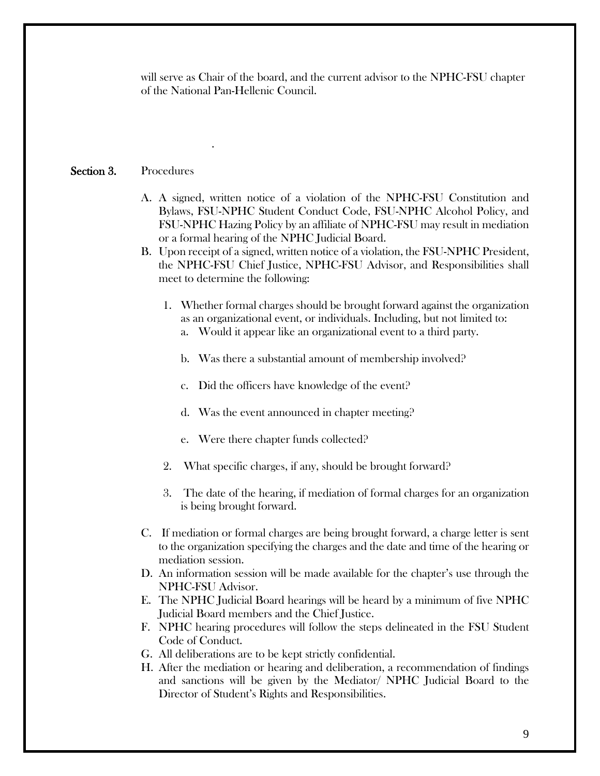will serve as Chair of the board, and the current advisor to the NPHC-FSU chapter of the National Pan-Hellenic Council.

## Section 3. Procedures

.

- A. A signed, written notice of a violation of the NPHC-FSU Constitution and Bylaws, FSU-NPHC Student Conduct Code, FSU-NPHC Alcohol Policy, and FSU-NPHC Hazing Policy by an affiliate of NPHC-FSU may result in mediation or a formal hearing of the NPHC Judicial Board.
- B. Upon receipt of a signed, written notice of a violation, the FSU-NPHC President, the NPHC-FSU Chief Justice, NPHC-FSU Advisor, and Responsibilities shall meet to determine the following:
	- 1. Whether formal charges should be brought forward against the organization as an organizational event, or individuals. Including, but not limited to:
		- a. Would it appear like an organizational event to a third party.
		- b. Was there a substantial amount of membership involved?
		- c. Did the officers have knowledge of the event?
		- d. Was the event announced in chapter meeting?
		- e. Were there chapter funds collected?
	- 2. What specific charges, if any, should be brought forward?
	- 3. The date of the hearing, if mediation of formal charges for an organization is being brought forward.
- C. If mediation or formal charges are being brought forward, a charge letter is sent to the organization specifying the charges and the date and time of the hearing or mediation session.
- D. An information session will be made available for the chapter's use through the NPHC-FSU Advisor.
- E. The NPHC Judicial Board hearings will be heard by a minimum of five NPHC Judicial Board members and the Chief Justice.
- F. NPHC hearing procedures will follow the steps delineated in the FSU Student Code of Conduct.
- G. All deliberations are to be kept strictly confidential.
- H. After the mediation or hearing and deliberation, a recommendation of findings and sanctions will be given by the Mediator/ NPHC Judicial Board to the Director of Student's Rights and Responsibilities.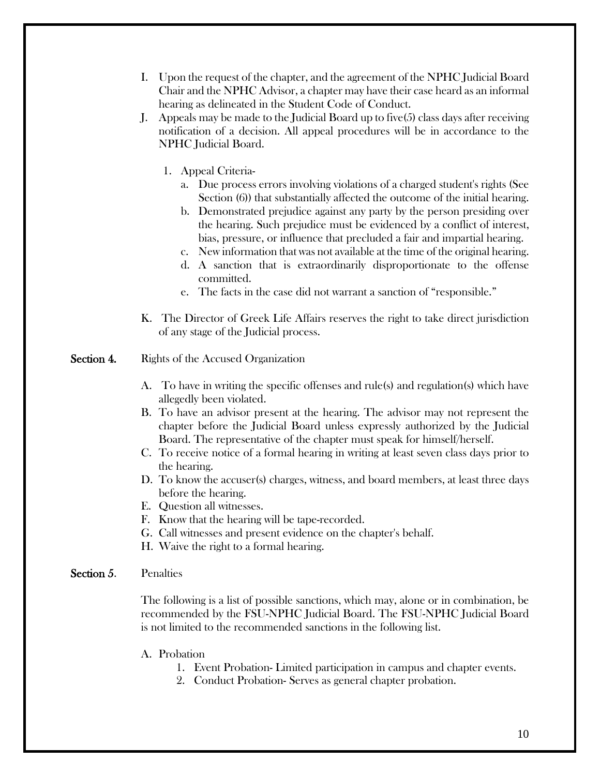- I. Upon the request of the chapter, and the agreement of the NPHC Judicial Board Chair and the NPHC Advisor, a chapter may have their case heard as an informal hearing as delineated in the Student Code of Conduct.
- J. Appeals may be made to the Judicial Board up to five(5) class days after receiving notification of a decision. All appeal procedures will be in accordance to the NPHC Judicial Board.
	- 1. Appeal Criteria
		- a. Due process errors involving violations of a charged student's rights (See Section (6)) that substantially affected the outcome of the initial hearing.
		- b. Demonstrated prejudice against any party by the person presiding over the hearing. Such prejudice must be evidenced by a conflict of interest, bias, pressure, or influence that precluded a fair and impartial hearing.
		- c. New information that was not available at the time of the original hearing.
		- d. A sanction that is extraordinarily disproportionate to the offense committed.
		- e. The facts in the case did not warrant a sanction of "responsible."
- K. The Director of Greek Life Affairs reserves the right to take direct jurisdiction of any stage of the Judicial process.
- Section 4. Rights of the Accused Organization
	- A. To have in writing the specific offenses and rule(s) and regulation(s) which have allegedly been violated.
	- B. To have an advisor present at the hearing. The advisor may not represent the chapter before the Judicial Board unless expressly authorized by the Judicial Board. The representative of the chapter must speak for himself/herself.
	- C. To receive notice of a formal hearing in writing at least seven class days prior to the hearing.
	- D. To know the accuser(s) charges, witness, and board members, at least three days before the hearing.
	- E. Question all witnesses.
	- F. Know that the hearing will be tape-recorded.
	- G. Call witnesses and present evidence on the chapter's behalf.
	- H. Waive the right to a formal hearing.

#### Section 5. Penalties

The following is a list of possible sanctions, which may, alone or in combination, be recommended by the FSU-NPHC Judicial Board. The FSU-NPHC Judicial Board is not limited to the recommended sanctions in the following list.

- A. Probation
	- 1. Event Probation- Limited participation in campus and chapter events.
	- 2. Conduct Probation- Serves as general chapter probation.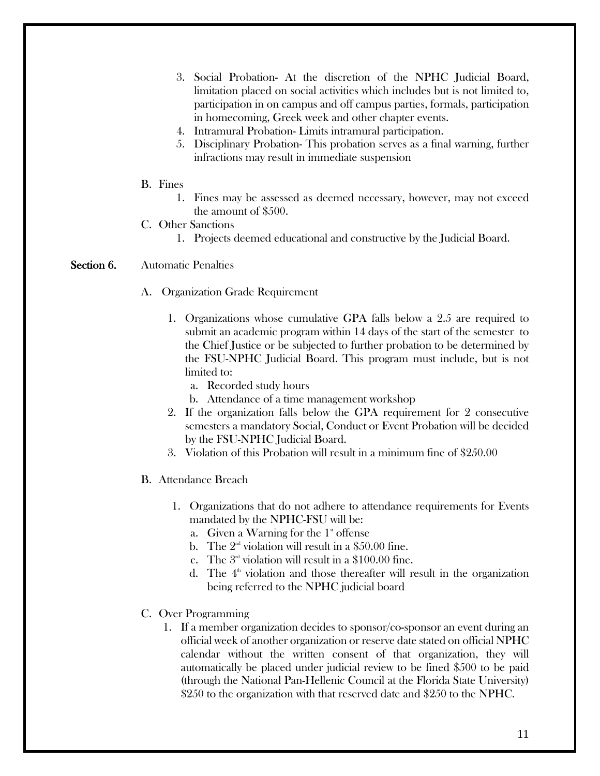- 3. Social Probation- At the discretion of the NPHC Judicial Board, limitation placed on social activities which includes but is not limited to, participation in on campus and off campus parties, formals, participation in homecoming, Greek week and other chapter events.
- 4. Intramural Probation- Limits intramural participation.
- 5. Disciplinary Probation- This probation serves as a final warning, further infractions may result in immediate suspension
- B. Fines
	- 1. Fines may be assessed as deemed necessary, however, may not exceed the amount of \$500.
- C. Other Sanctions
	- 1. Projects deemed educational and constructive by the Judicial Board.

## Section 6. Automatic Penalties

- A. Organization Grade Requirement
	- 1. Organizations whose cumulative GPA falls below a 2.5 are required to submit an academic program within 14 days of the start of the semester to the Chief Justice or be subjected to further probation to be determined by the FSU-NPHC Judicial Board. This program must include, but is not limited to:
		- a. Recorded study hours
		- b. Attendance of a time management workshop
	- 2. If the organization falls below the GPA requirement for 2 consecutive semesters a mandatory Social, Conduct or Event Probation will be decided by the FSU-NPHC Judicial Board.
	- 3. Violation of this Probation will result in a minimum fine of \$250.00
- B. Attendance Breach
	- 1. Organizations that do not adhere to attendance requirements for Events mandated by the NPHC-FSU will be:
		- a. Given a Warning for the  $1^*$  offense
		- b. The  $2<sup>nd</sup>$  violation will result in a \$50.00 fine.
		- c. The  $3<sup>rd</sup>$  violation will result in a \$100.00 fine.
		- d. The  $4<sup>th</sup>$  violation and those thereafter will result in the organization being referred to the NPHC judicial board
- C. Over Programming
	- 1. If a member organization decides to sponsor/co-sponsor an event during an official week of another organization or reserve date stated on official NPHC calendar without the written consent of that organization, they will automatically be placed under judicial review to be fined \$500 to be paid (through the National Pan-Hellenic Council at the Florida State University) \$250 to the organization with that reserved date and \$250 to the NPHC.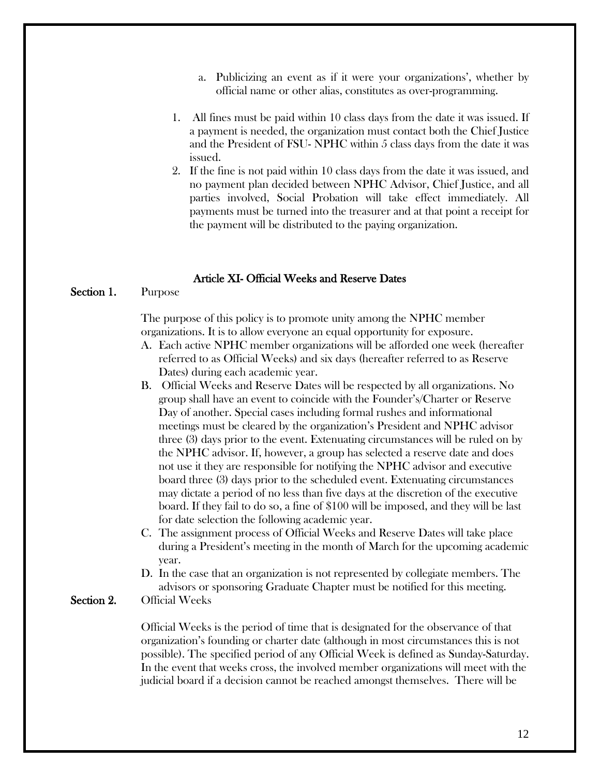- a. Publicizing an event as if it were your organizations', whether by official name or other alias, constitutes as over-programming.
- 1. All fines must be paid within 10 class days from the date it was issued. If a payment is needed, the organization must contact both the Chief Justice and the President of FSU- NPHC within 5 class days from the date it was issued.
- 2. If the fine is not paid within 10 class days from the date it was issued, and no payment plan decided between NPHC Advisor, Chief Justice, and all parties involved, Social Probation will take effect immediately. All payments must be turned into the treasurer and at that point a receipt for the payment will be distributed to the paying organization.

#### Article XI- Official Weeks and Reserve Dates

#### Section 1. Purpose

The purpose of this policy is to promote unity among the NPHC member organizations. It is to allow everyone an equal opportunity for exposure.

- A. Each active NPHC member organizations will be afforded one week (hereafter referred to as Official Weeks) and six days (hereafter referred to as Reserve Dates) during each academic year.
- B. Official Weeks and Reserve Dates will be respected by all organizations. No group shall have an event to coincide with the Founder's/Charter or Reserve Day of another. Special cases including formal rushes and informational meetings must be cleared by the organization's President and NPHC advisor three (3) days prior to the event. Extenuating circumstances will be ruled on by the NPHC advisor. If, however, a group has selected a reserve date and does not use it they are responsible for notifying the NPHC advisor and executive board three (3) days prior to the scheduled event. Extenuating circumstances may dictate a period of no less than five days at the discretion of the executive board. If they fail to do so, a fine of \$100 will be imposed, and they will be last for date selection the following academic year.
- C. The assignment process of Official Weeks and Reserve Dates will take place during a President's meeting in the month of March for the upcoming academic year.
- D. In the case that an organization is not represented by collegiate members. The advisors or sponsoring Graduate Chapter must be notified for this meeting.

## Section 2. Official Weeks

Official Weeks is the period of time that is designated for the observance of that organization's founding or charter date (although in most circumstances this is not possible). The specified period of any Official Week is defined as Sunday-Saturday. In the event that weeks cross, the involved member organizations will meet with the judicial board if a decision cannot be reached amongst themselves. There will be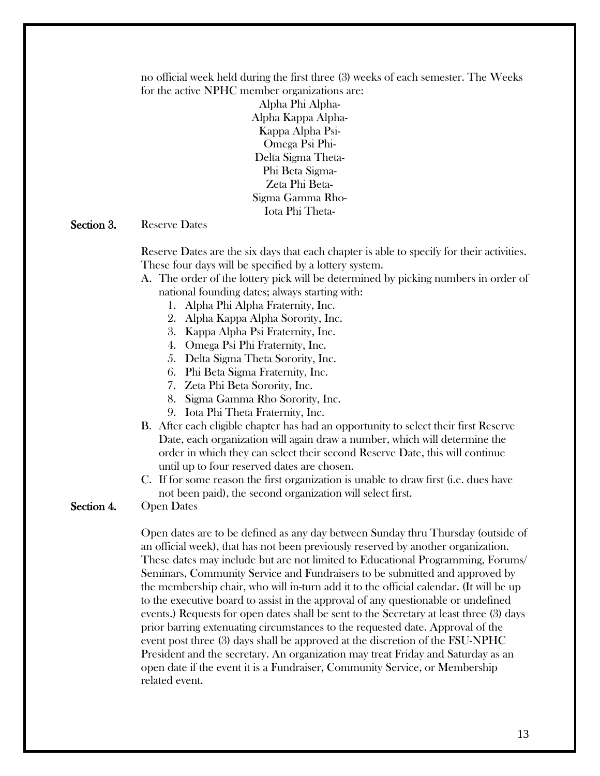no official week held during the first three (3) weeks of each semester. The Weeks for the active NPHC member organizations are:

> Alpha Phi Alpha-Alpha Kappa Alpha-Kappa Alpha Psi-Omega Psi Phi-Delta Sigma Theta-Phi Beta Sigma-Zeta Phi Beta-Sigma Gamma Rho-Iota Phi Theta-

#### Section 3. Reserve Dates

Reserve Dates are the six days that each chapter is able to specify for their activities. These four days will be specified by a lottery system.

A. The order of the lottery pick will be determined by picking numbers in order of national founding dates; always starting with:

- 1. Alpha Phi Alpha Fraternity, Inc.
- 2. Alpha Kappa Alpha Sorority, Inc.
- 3. Kappa Alpha Psi Fraternity, Inc.
- 4. Omega Psi Phi Fraternity, Inc.
- 5. Delta Sigma Theta Sorority, Inc.
- 6. Phi Beta Sigma Fraternity, Inc.
- 7. Zeta Phi Beta Sorority, Inc.
- 8. Sigma Gamma Rho Sorority, Inc.
- 9. Iota Phi Theta Fraternity, Inc.
- B. After each eligible chapter has had an opportunity to select their first Reserve Date, each organization will again draw a number, which will determine the order in which they can select their second Reserve Date, this will continue until up to four reserved dates are chosen.
- C. If for some reason the first organization is unable to draw first (i.e. dues have not been paid), the second organization will select first.

#### Section 4. Open Dates

Open dates are to be defined as any day between Sunday thru Thursday (outside of an official week), that has not been previously reserved by another organization. These dates may include but are not limited to Educational Programming, Forums/ Seminars, Community Service and Fundraisers to be submitted and approved by the membership chair, who will in-turn add it to the official calendar. (It will be up to the executive board to assist in the approval of any questionable or undefined events.) Requests for open dates shall be sent to the Secretary at least three (3) days prior barring extenuating circumstances to the requested date. Approval of the event post three (3) days shall be approved at the discretion of the FSU-NPHC President and the secretary. An organization may treat Friday and Saturday as an open date if the event it is a Fundraiser, Community Service, or Membership related event.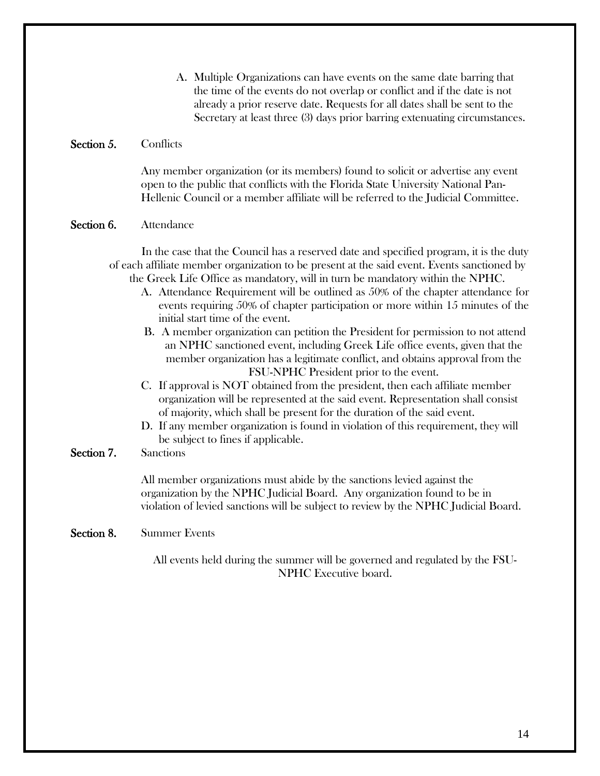A. Multiple Organizations can have events on the same date barring that the time of the events do not overlap or conflict and if the date is not already a prior reserve date. Requests for all dates shall be sent to the Secretary at least three (3) days prior barring extenuating circumstances.

#### Section 5. Conflicts

Any member organization (or its members) found to solicit or advertise any event open to the public that conflicts with the Florida State University National Pan-Hellenic Council or a member affiliate will be referred to the Judicial Committee.

#### Section 6. Attendance

In the case that the Council has a reserved date and specified program, it is the duty of each affiliate member organization to be present at the said event. Events sanctioned by the Greek Life Office as mandatory, will in turn be mandatory within the NPHC.

- A. Attendance Requirement will be outlined as 50% of the chapter attendance for events requiring 50% of chapter participation or more within 15 minutes of the initial start time of the event.
- B. A member organization can petition the President for permission to not attend an NPHC sanctioned event, including Greek Life office events, given that the member organization has a legitimate conflict, and obtains approval from the FSU-NPHC President prior to the event.
- C. If approval is NOT obtained from the president, then each affiliate member organization will be represented at the said event. Representation shall consist of majority, which shall be present for the duration of the said event.
- D. If any member organization is found in violation of this requirement, they will be subject to fines if applicable.

## Section 7. Sanctions

All member organizations must abide by the sanctions levied against the organization by the NPHC Judicial Board. Any organization found to be in violation of levied sanctions will be subject to review by the NPHC Judicial Board.

#### Section 8. Summer Events

All events held during the summer will be governed and regulated by the FSU-NPHC Executive board.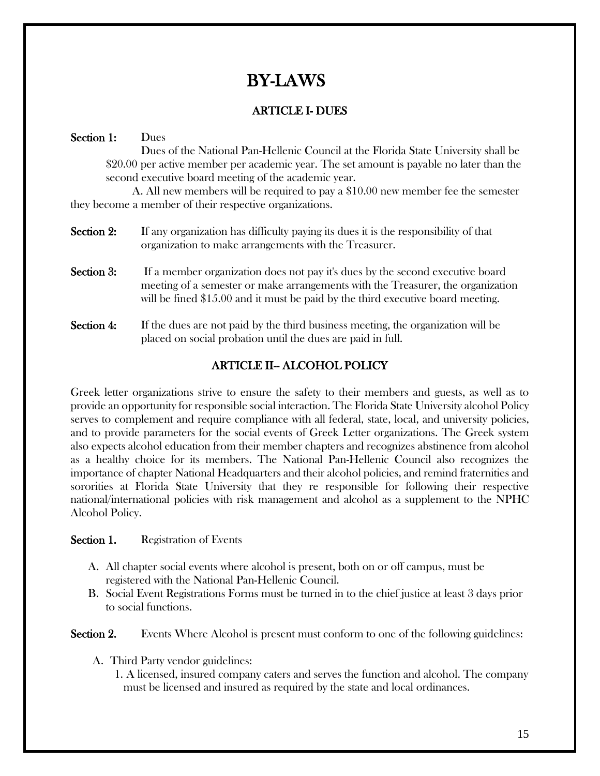# BY-LAWS

## ARTICLE I- DUES

## Section 1: Dues

Dues of the National Pan-Hellenic Council at the Florida State University shall be \$20.00 per active member per academic year. The set amount is payable no later than the second executive board meeting of the academic year.

 A. All new members will be required to pay a \$10.00 new member fee the semester they become a member of their respective organizations.

- Section 2: If any organization has difficulty paying its dues it is the responsibility of that organization to make arrangements with the Treasurer.
- Section 3: If a member organization does not pay it's dues by the second executive board meeting of a semester or make arrangements with the Treasurer, the organization will be fined \$15.00 and it must be paid by the third executive board meeting.
- Section 4: If the dues are not paid by the third business meeting, the organization will be placed on social probation until the dues are paid in full.

## ARTICLE II-ALCOHOL POLICY

Greek letter organizations strive to ensure the safety to their members and guests, as well as to provide an opportunity for responsible social interaction. The Florida State University alcohol Policy serves to complement and require compliance with all federal, state, local, and university policies, and to provide parameters for the social events of Greek Letter organizations. The Greek system also expects alcohol education from their member chapters and recognizes abstinence from alcohol as a healthy choice for its members. The National Pan-Hellenic Council also recognizes the importance of chapter National Headquarters and their alcohol policies, and remind fraternities and sororities at Florida State University that they re responsible for following their respective national/international policies with risk management and alcohol as a supplement to the NPHC Alcohol Policy.

## Section 1. Registration of Events

- A. All chapter social events where alcohol is present, both on or off campus, must be registered with the National Pan-Hellenic Council.
- B. Social Event Registrations Forms must be turned in to the chief justice at least 3 days prior to social functions.

Section 2. Events Where Alcohol is present must conform to one of the following guidelines:

- A. Third Party vendor guidelines:
	- 1. A licensed, insured company caters and serves the function and alcohol. The company must be licensed and insured as required by the state and local ordinances.